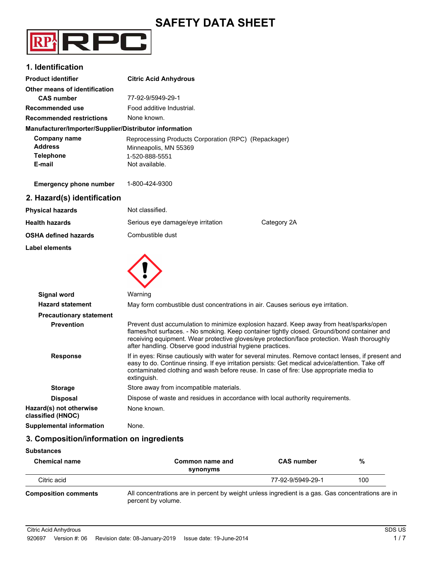# **SAFETY DATA SHEET**



## **1. Identification**

| <b>Product identifier</b>                                           | <b>Citric Acid Anhydrous</b>                                                                                      |
|---------------------------------------------------------------------|-------------------------------------------------------------------------------------------------------------------|
| Other means of identification                                       |                                                                                                                   |
| <b>CAS number</b>                                                   | 77-92-9/5949-29-1                                                                                                 |
| Recommended use                                                     | Food additive Industrial.                                                                                         |
| <b>Recommended restrictions</b>                                     | None known.                                                                                                       |
| Manufacturer/Importer/Supplier/Distributor information              |                                                                                                                   |
| <b>Company name</b><br><b>Address</b><br><b>Telephone</b><br>E-mail | Reprocessing Products Corporation (RPC) (Repackager)<br>Minneapolis, MN 55369<br>1-520-888-5551<br>Not available. |
| <b>Emergency phone number</b>                                       | 1-800-424-9300                                                                                                    |
| 2. Hazard(s) identification                                         |                                                                                                                   |
| <b>Physical hazards</b>                                             | Not classified.                                                                                                   |
| <b>Health hazards</b>                                               | Serious eye damage/eye irritation<br>Category 2A                                                                  |
| <b>OSHA defined hazards</b>                                         | Combustible dust                                                                                                  |
| <b>Label elements</b>                                               |                                                                                                                   |
|                                                                     |                                                                                                                   |

| <b>Signal word</b>                           | Warning                                                                                                                                                                                                                                                                                                                                             |
|----------------------------------------------|-----------------------------------------------------------------------------------------------------------------------------------------------------------------------------------------------------------------------------------------------------------------------------------------------------------------------------------------------------|
| <b>Hazard statement</b>                      | May form combustible dust concentrations in air. Causes serious eye irritation.                                                                                                                                                                                                                                                                     |
| <b>Precautionary statement</b>               |                                                                                                                                                                                                                                                                                                                                                     |
| <b>Prevention</b>                            | Prevent dust accumulation to minimize explosion hazard. Keep away from heat/sparks/open<br>flames/hot surfaces. - No smoking. Keep container tightly closed. Ground/bond container and<br>receiving equipment. Wear protective gloves/eye protection/face protection. Wash thoroughly<br>after handling. Observe good industrial hygiene practices. |
| <b>Response</b>                              | If in eyes: Rinse cautiously with water for several minutes. Remove contact lenses, if present and<br>easy to do. Continue rinsing. If eye irritation persists: Get medical advice/attention. Take off<br>contaminated clothing and wash before reuse. In case of fire: Use appropriate media to<br>extinguish.                                     |
| <b>Storage</b>                               | Store away from incompatible materials.                                                                                                                                                                                                                                                                                                             |
| <b>Disposal</b>                              | Dispose of waste and residues in accordance with local authority requirements.                                                                                                                                                                                                                                                                      |
| Hazard(s) not otherwise<br>classified (HNOC) | None known.                                                                                                                                                                                                                                                                                                                                         |
| <b>Supplemental information</b>              | None.                                                                                                                                                                                                                                                                                                                                               |

# **3. Composition/information on ingredients**

#### **Substances**

| <b>Chemical name</b>        | Common name and<br>synonyms                                                                    | <b>CAS number</b> | %   |
|-----------------------------|------------------------------------------------------------------------------------------------|-------------------|-----|
| Citric acid                 |                                                                                                | 77-92-9/5949-29-1 | 100 |
| <b>Composition comments</b> | All concentrations are in percent by weight unless ingredient is a gas. Gas concentrations are |                   |     |

All concentrations are in percent by weight unless ingredient is a gas. Gas concentrations are in percent by volume.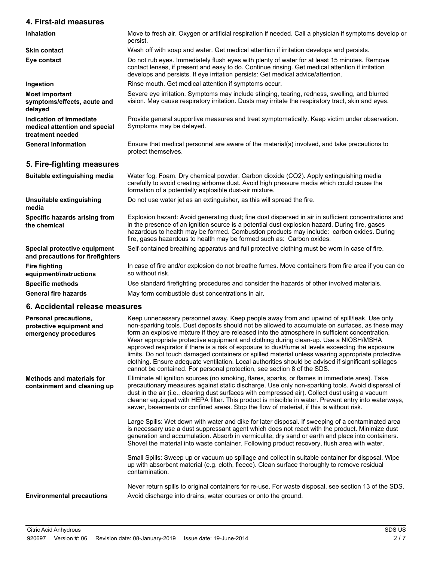## **4. First-aid measures**

| <b>Inhalation</b>                                                            | Move to fresh air. Oxygen or artificial respiration if needed. Call a physician if symptoms develop or<br>persist.                                                                                                                                                                                                                                                           |
|------------------------------------------------------------------------------|------------------------------------------------------------------------------------------------------------------------------------------------------------------------------------------------------------------------------------------------------------------------------------------------------------------------------------------------------------------------------|
| <b>Skin contact</b>                                                          | Wash off with soap and water. Get medical attention if irritation develops and persists.                                                                                                                                                                                                                                                                                     |
| Eye contact                                                                  | Do not rub eyes. Immediately flush eyes with plenty of water for at least 15 minutes. Remove<br>contact lenses, if present and easy to do. Continue rinsing. Get medical attention if irritation<br>develops and persists. If eye irritation persists: Get medical advice/attention.                                                                                         |
| Ingestion                                                                    | Rinse mouth. Get medical attention if symptoms occur.                                                                                                                                                                                                                                                                                                                        |
| <b>Most important</b><br>symptoms/effects, acute and<br>delayed              | Severe eye irritation. Symptoms may include stinging, tearing, redness, swelling, and blurred<br>vision. May cause respiratory irritation. Dusts may irritate the respiratory tract, skin and eyes.                                                                                                                                                                          |
| Indication of immediate<br>medical attention and special<br>treatment needed | Provide general supportive measures and treat symptomatically. Keep victim under observation.<br>Symptoms may be delayed.                                                                                                                                                                                                                                                    |
| <b>General information</b>                                                   | Ensure that medical personnel are aware of the material(s) involved, and take precautions to<br>protect themselves.                                                                                                                                                                                                                                                          |
| 5. Fire-fighting measures                                                    |                                                                                                                                                                                                                                                                                                                                                                              |
| Suitable extinguishing media                                                 | Water fog. Foam. Dry chemical powder. Carbon dioxide (CO2). Apply extinguishing media<br>carefully to avoid creating airborne dust. Avoid high pressure media which could cause the<br>formation of a potentially explosible dust-air mixture.                                                                                                                               |
| Unsuitable extinguishing<br>media                                            | Do not use water jet as an extinguisher, as this will spread the fire.                                                                                                                                                                                                                                                                                                       |
| Specific hazards arising from<br>the chemical                                | Explosion hazard: Avoid generating dust; fine dust dispersed in air in sufficient concentrations and<br>in the presence of an ignition source is a potential dust explosion hazard. During fire, gases<br>hazardous to health may be formed. Combustion products may include: carbon oxides. During<br>fire, gases hazardous to health may be formed such as: Carbon oxides. |
| Special protective equipment<br>and precautions for firefighters             | Self-contained breathing apparatus and full protective clothing must be worn in case of fire.                                                                                                                                                                                                                                                                                |
| <b>Fire fighting</b><br>equipment/instructions                               | In case of fire and/or explosion do not breathe fumes. Move containers from fire area if you can do<br>so without risk.                                                                                                                                                                                                                                                      |
| <b>Specific methods</b>                                                      | Use standard firefighting procedures and consider the hazards of other involved materials.                                                                                                                                                                                                                                                                                   |
| <b>General fire hazards</b>                                                  | May form combustible dust concentrations in air.                                                                                                                                                                                                                                                                                                                             |

#### **6. Accidental release measures**

| Personal precautions,<br>protective equipment and<br>emergency procedures | Keep unnecessary personnel away. Keep people away from and upwind of spill/leak. Use only<br>non-sparking tools. Dust deposits should not be allowed to accumulate on surfaces, as these may<br>form an explosive mixture if they are released into the atmosphere in sufficient concentration.<br>Wear appropriate protective equipment and clothing during clean-up. Use a NIOSH/MSHA<br>approved respirator if there is a risk of exposure to dust/fume at levels exceeding the exposure<br>limits. Do not touch damaged containers or spilled material unless wearing appropriate protective<br>clothing. Ensure adequate ventilation. Local authorities should be advised if significant spillages<br>cannot be contained. For personal protection, see section 8 of the SDS. |
|---------------------------------------------------------------------------|------------------------------------------------------------------------------------------------------------------------------------------------------------------------------------------------------------------------------------------------------------------------------------------------------------------------------------------------------------------------------------------------------------------------------------------------------------------------------------------------------------------------------------------------------------------------------------------------------------------------------------------------------------------------------------------------------------------------------------------------------------------------------------|
| Methods and materials for<br>containment and cleaning up                  | Eliminate all ignition sources (no smoking, flares, sparks, or flames in immediate area). Take<br>precautionary measures against static discharge. Use only non-sparking tools. Avoid dispersal of<br>dust in the air (i.e., clearing dust surfaces with compressed air). Collect dust using a vacuum<br>cleaner equipped with HEPA filter. This product is miscible in water. Prevent entry into waterways,<br>sewer, basements or confined areas. Stop the flow of material, if this is without risk.                                                                                                                                                                                                                                                                            |
|                                                                           | Large Spills: Wet down with water and dike for later disposal. If sweeping of a contaminated area<br>is necessary use a dust suppressant agent which does not react with the product. Minimize dust<br>generation and accumulation. Absorb in vermiculite, dry sand or earth and place into containers.<br>Shovel the material into waste container. Following product recovery, flush area with water.                                                                                                                                                                                                                                                                                                                                                                            |
|                                                                           | Small Spills: Sweep up or vacuum up spillage and collect in suitable container for disposal. Wipe<br>up with absorbent material (e.g. cloth, fleece). Clean surface thoroughly to remove residual<br>contamination.                                                                                                                                                                                                                                                                                                                                                                                                                                                                                                                                                                |
| <b>Environmental precautions</b>                                          | Never return spills to original containers for re-use. For waste disposal, see section 13 of the SDS.<br>Avoid discharge into drains, water courses or onto the ground.                                                                                                                                                                                                                                                                                                                                                                                                                                                                                                                                                                                                            |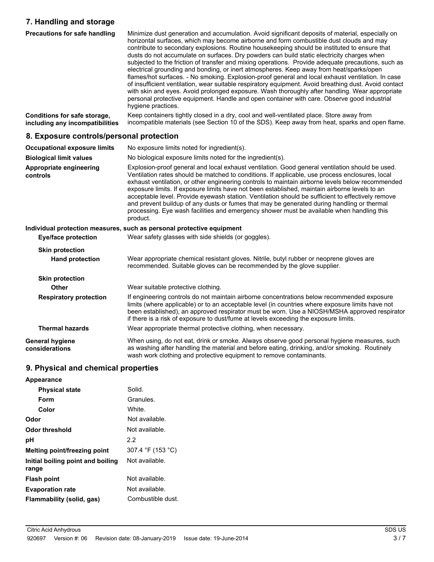## **7. Handling and storage**

| 7. Handling and storage                                         |                                                                                                                                                                                                                                                                                                                                                                                                                                                                                                                                                                                                                                                                                                                                                                                                                                                                                                                                                                                                                                 |
|-----------------------------------------------------------------|---------------------------------------------------------------------------------------------------------------------------------------------------------------------------------------------------------------------------------------------------------------------------------------------------------------------------------------------------------------------------------------------------------------------------------------------------------------------------------------------------------------------------------------------------------------------------------------------------------------------------------------------------------------------------------------------------------------------------------------------------------------------------------------------------------------------------------------------------------------------------------------------------------------------------------------------------------------------------------------------------------------------------------|
| <b>Precautions for safe handling</b>                            | Minimize dust generation and accumulation. Avoid significant deposits of material, especially on<br>horizontal surfaces, which may become airborne and form combustible dust clouds and may<br>contribute to secondary explosions. Routine housekeeping should be instituted to ensure that<br>dusts do not accumulate on surfaces. Dry powders can build static electricity charges when<br>subjected to the friction of transfer and mixing operations. Provide adequate precautions, such as<br>electrical grounding and bonding, or inert atmospheres. Keep away from heat/sparks/open<br>flames/hot surfaces. - No smoking. Explosion-proof general and local exhaust ventilation. In case<br>of insufficient ventilation, wear suitable respiratory equipment. Avoid breathing dust. Avoid contact<br>with skin and eyes. Avoid prolonged exposure. Wash thoroughly after handling. Wear appropriate<br>personal protective equipment. Handle and open container with care. Observe good industrial<br>hygiene practices. |
| Conditions for safe storage,<br>including any incompatibilities | Keep containers tightly closed in a dry, cool and well-ventilated place. Store away from<br>incompatible materials (see Section 10 of the SDS). Keep away from heat, sparks and open flame.                                                                                                                                                                                                                                                                                                                                                                                                                                                                                                                                                                                                                                                                                                                                                                                                                                     |
| 8. Exposure controls/personal protection                        |                                                                                                                                                                                                                                                                                                                                                                                                                                                                                                                                                                                                                                                                                                                                                                                                                                                                                                                                                                                                                                 |
| <b>Occupational exposure limits</b>                             | No exposure limits noted for ingredient(s).                                                                                                                                                                                                                                                                                                                                                                                                                                                                                                                                                                                                                                                                                                                                                                                                                                                                                                                                                                                     |
| <b>Biological limit values</b>                                  | No biological exposure limits noted for the ingredient(s).                                                                                                                                                                                                                                                                                                                                                                                                                                                                                                                                                                                                                                                                                                                                                                                                                                                                                                                                                                      |
| Appropriate engineering<br>controls                             | Explosion-proof general and local exhaust ventilation. Good general ventilation should be used.<br>Ventilation rates should be matched to conditions. If applicable, use process enclosures, local<br>exhaust ventilation, or other engineering controls to maintain airborne levels below recommended<br>exposure limits. If exposure limits have not been established, maintain airborne levels to an<br>acceptable level. Provide eyewash station. Ventilation should be sufficient to effectively remove<br>and prevent buildup of any dusts or fumes that may be generated during handling or thermal<br>processing. Eye wash facilities and emergency shower must be available when handling this<br>product.                                                                                                                                                                                                                                                                                                             |
|                                                                 | Individual protection measures, such as personal protective equipment                                                                                                                                                                                                                                                                                                                                                                                                                                                                                                                                                                                                                                                                                                                                                                                                                                                                                                                                                           |
| <b>Eye/face protection</b>                                      | Wear safety glasses with side shields (or goggles).                                                                                                                                                                                                                                                                                                                                                                                                                                                                                                                                                                                                                                                                                                                                                                                                                                                                                                                                                                             |
| <b>Skin protection</b>                                          |                                                                                                                                                                                                                                                                                                                                                                                                                                                                                                                                                                                                                                                                                                                                                                                                                                                                                                                                                                                                                                 |
| <b>Hand protection</b>                                          | Wear appropriate chemical resistant gloves. Nitrile, butyl rubber or neoprene gloves are<br>recommended. Suitable gloves can be recommended by the glove supplier.                                                                                                                                                                                                                                                                                                                                                                                                                                                                                                                                                                                                                                                                                                                                                                                                                                                              |
| <b>Skin protection</b>                                          |                                                                                                                                                                                                                                                                                                                                                                                                                                                                                                                                                                                                                                                                                                                                                                                                                                                                                                                                                                                                                                 |
| <b>Other</b>                                                    | Wear suitable protective clothing.                                                                                                                                                                                                                                                                                                                                                                                                                                                                                                                                                                                                                                                                                                                                                                                                                                                                                                                                                                                              |
| <b>Respiratory protection</b>                                   | If engineering controls do not maintain airborne concentrations below recommended exposure<br>limits (where applicable) or to an acceptable level (in countries where exposure limits have not<br>been established), an approved respirator must be worn. Use a NIOSH/MSHA approved respirator<br>if there is a risk of exposure to dust/fume at levels exceeding the exposure limits.                                                                                                                                                                                                                                                                                                                                                                                                                                                                                                                                                                                                                                          |
| <b>Thermal hazards</b>                                          | Wear appropriate thermal protective clothing, when necessary.                                                                                                                                                                                                                                                                                                                                                                                                                                                                                                                                                                                                                                                                                                                                                                                                                                                                                                                                                                   |
| <b>General hygiene</b><br>considerations                        | When using, do not eat, drink or smoke. Always observe good personal hygiene measures, such<br>as washing after handling the material and before eating, drinking, and/or smoking. Routinely<br>wash work clothing and protective equipment to remove contaminants.                                                                                                                                                                                                                                                                                                                                                                                                                                                                                                                                                                                                                                                                                                                                                             |

# **9. Physical and chemical properties**

| Appearance                                 |                   |
|--------------------------------------------|-------------------|
| <b>Physical state</b>                      | Solid.            |
| Form                                       | Granules.         |
| Color                                      | White.            |
| Odor                                       | Not available.    |
| Odor threshold                             | Not available.    |
| рH                                         | 2.2               |
| Melting point/freezing point               | 307.4 °F (153 °C) |
| Initial boiling point and boiling<br>range | Not available.    |
| <b>Flash point</b>                         | Not available.    |
| <b>Evaporation rate</b>                    | Not available.    |
| Flammability (solid, gas)                  | Combustible dust. |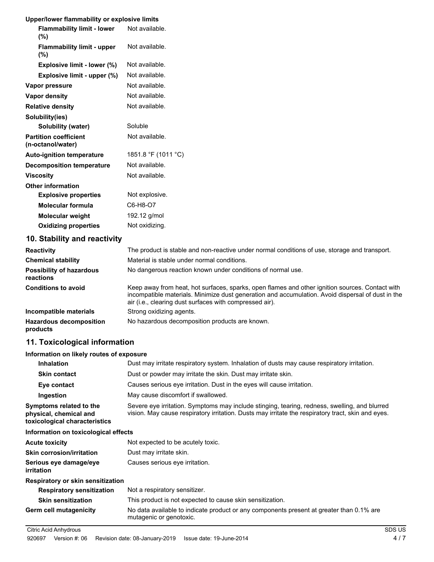#### **Upper/lower flammability or explosive limits**

| Opper/IOWEI Hammability of explosive illinits     |                     |
|---------------------------------------------------|---------------------|
| <b>Flammability limit - lower</b><br>(%)          | Not available.      |
| <b>Flammability limit - upper</b><br>(%)          | Not available.      |
| Explosive limit - lower (%)                       | Not available.      |
| Explosive limit - upper (%)                       | Not available.      |
| Vapor pressure                                    | Not available.      |
| <b>Vapor density</b>                              | Not available.      |
| <b>Relative density</b>                           | Not available.      |
| Solubility(ies)                                   |                     |
| Solubility (water)                                | Soluble             |
| <b>Partition coefficient</b><br>(n-octanol/water) | Not available.      |
| <b>Auto-ignition temperature</b>                  | 1851.8 °F (1011 °C) |
| <b>Decomposition temperature</b>                  | Not available.      |
| Viscosity                                         | Not available.      |
| <b>Other information</b>                          |                     |
| <b>Explosive properties</b>                       | Not explosive.      |
| <b>Molecular formula</b>                          | C6-H8-O7            |
| <b>Molecular weight</b>                           | 192.12 g/mol        |
| <b>Oxidizing properties</b>                       | Not oxidizing.      |

# **10. Stability and reactivity**

| <b>Reactivity</b>                            | The product is stable and non-reactive under normal conditions of use, storage and transport.                                                                                                                                                                   |
|----------------------------------------------|-----------------------------------------------------------------------------------------------------------------------------------------------------------------------------------------------------------------------------------------------------------------|
| <b>Chemical stability</b>                    | Material is stable under normal conditions.                                                                                                                                                                                                                     |
| <b>Possibility of hazardous</b><br>reactions | No dangerous reaction known under conditions of normal use.                                                                                                                                                                                                     |
| <b>Conditions to avoid</b>                   | Keep away from heat, hot surfaces, sparks, open flames and other ignition sources. Contact with<br>incompatible materials. Minimize dust generation and accumulation. Avoid dispersal of dust in the<br>air (i.e., clearing dust surfaces with compressed air). |
| Incompatible materials                       | Strong oxidizing agents.                                                                                                                                                                                                                                        |
| <b>Hazardous decomposition</b><br>products   | No hazardous decomposition products are known.                                                                                                                                                                                                                  |

# **11. Toxicological information**

## **Information on likely routes of exposure**

| <b>Inhalation</b>                                                                  | Dust may irritate respiratory system. Inhalation of dusts may cause respiratory irritation.                                                                                                         |
|------------------------------------------------------------------------------------|-----------------------------------------------------------------------------------------------------------------------------------------------------------------------------------------------------|
| <b>Skin contact</b>                                                                | Dust or powder may irritate the skin. Dust may irritate skin.                                                                                                                                       |
| Eye contact                                                                        | Causes serious eye irritation. Dust in the eyes will cause irritation.                                                                                                                              |
| Ingestion                                                                          | May cause discomfort if swallowed.                                                                                                                                                                  |
| Symptoms related to the<br>physical, chemical and<br>toxicological characteristics | Severe eye irritation. Symptoms may include stinging, tearing, redness, swelling, and blurred<br>vision. May cause respiratory irritation. Dusts may irritate the respiratory tract, skin and eyes. |
| Information on toxicological effects                                               |                                                                                                                                                                                                     |
| <b>Acute toxicity</b>                                                              | Not expected to be acutely toxic.                                                                                                                                                                   |
| <b>Skin corrosion/irritation</b>                                                   | Dust may irritate skin.                                                                                                                                                                             |
| Serious eye damage/eye<br><i>irritation</i>                                        | Causes serious eye irritation.                                                                                                                                                                      |
| Respiratory or skin sensitization                                                  |                                                                                                                                                                                                     |
| <b>Respiratory sensitization</b>                                                   | Not a respiratory sensitizer.                                                                                                                                                                       |
| <b>Skin sensitization</b>                                                          | This product is not expected to cause skin sensitization.                                                                                                                                           |
| <b>Germ cell mutagenicity</b>                                                      | No data available to indicate product or any components present at greater than 0.1% are<br>mutagenic or genotoxic.                                                                                 |

#### Citric Acid Anhydrous SDS US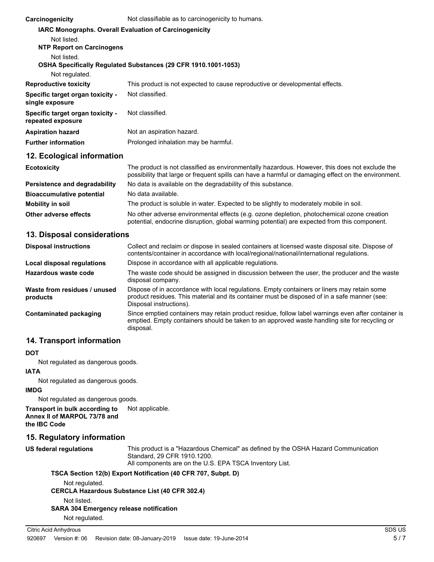| Carcinogenicity                                       | Not classifiable as to carcinogenicity to humans.                                                                                                                                                     |
|-------------------------------------------------------|-------------------------------------------------------------------------------------------------------------------------------------------------------------------------------------------------------|
|                                                       | <b>IARC Monographs. Overall Evaluation of Carcinogenicity</b>                                                                                                                                         |
| Not listed.                                           |                                                                                                                                                                                                       |
| <b>NTP Report on Carcinogens</b>                      |                                                                                                                                                                                                       |
| Not listed.                                           |                                                                                                                                                                                                       |
|                                                       | OSHA Specifically Regulated Substances (29 CFR 1910.1001-1053)                                                                                                                                        |
| Not regulated.                                        |                                                                                                                                                                                                       |
| <b>Reproductive toxicity</b>                          | This product is not expected to cause reproductive or developmental effects.                                                                                                                          |
| Specific target organ toxicity -<br>single exposure   | Not classified.                                                                                                                                                                                       |
| Specific target organ toxicity -<br>repeated exposure | Not classified.                                                                                                                                                                                       |
| <b>Aspiration hazard</b>                              | Not an aspiration hazard.                                                                                                                                                                             |
| <b>Further information</b>                            | Prolonged inhalation may be harmful.                                                                                                                                                                  |
| 12. Ecological information                            |                                                                                                                                                                                                       |
| <b>Ecotoxicity</b>                                    | The product is not classified as environmentally hazardous. However, this does not exclude the<br>possibility that large or frequent spills can have a harmful or damaging effect on the environment. |
| Persistence and degradability                         | No data is available on the degradability of this substance.                                                                                                                                          |
|                                                       |                                                                                                                                                                                                       |

| <b>Bioaccumulative potential</b> | No data available.                                                                                                                                                                         |
|----------------------------------|--------------------------------------------------------------------------------------------------------------------------------------------------------------------------------------------|
| <b>Mobility in soil</b>          | The product is soluble in water. Expected to be slightly to moderately mobile in soil.                                                                                                     |
| Other adverse effects            | No other adverse environmental effects (e.g. ozone depletion, photochemical ozone creation<br>potential, endocrine disruption, global warming potential) are expected from this component. |

#### **13. Disposal considerations**

| <b>Disposal instructions</b>             | Collect and reclaim or dispose in sealed containers at licensed waste disposal site. Dispose of<br>contents/container in accordance with local/regional/national/international regulations.                            |
|------------------------------------------|------------------------------------------------------------------------------------------------------------------------------------------------------------------------------------------------------------------------|
| Local disposal regulations               | Dispose in accordance with all applicable regulations.                                                                                                                                                                 |
| Hazardous waste code                     | The waste code should be assigned in discussion between the user, the producer and the waste<br>disposal company.                                                                                                      |
| Waste from residues / unused<br>products | Dispose of in accordance with local regulations. Empty containers or liners may retain some<br>product residues. This material and its container must be disposed of in a safe manner (see:<br>Disposal instructions). |
| Contaminated packaging                   | Since emptied containers may retain product residue, follow label warnings even after container is<br>emptied. Empty containers should be taken to an approved waste handling site for recycling or<br>disposal.       |

# **14. Transport information**

#### **DOT**

Not regulated as dangerous goods.

# **IATA**

Not regulated as dangerous goods.

### **IMDG**

Not regulated as dangerous goods.

**Transport in bulk according to** Not applicable. **Annex II of MARPOL 73/78 and the IBC Code**

# **15. Regulatory information**

| US federal regulations                                                          | This product is a "Hazardous Chemical" as defined by the OSHA Hazard Communication<br>Standard, 29 CFR 1910.1200.<br>All components are on the U.S. EPA TSCA Inventory List. |
|---------------------------------------------------------------------------------|------------------------------------------------------------------------------------------------------------------------------------------------------------------------------|
| Not regulated.                                                                  | TSCA Section 12(b) Export Notification (40 CFR 707, Subpt. D)<br><b>CERCLA Hazardous Substance List (40 CFR 302.4)</b>                                                       |
| Not listed.<br><b>SARA 304 Emergency release notification</b><br>Not regulated. |                                                                                                                                                                              |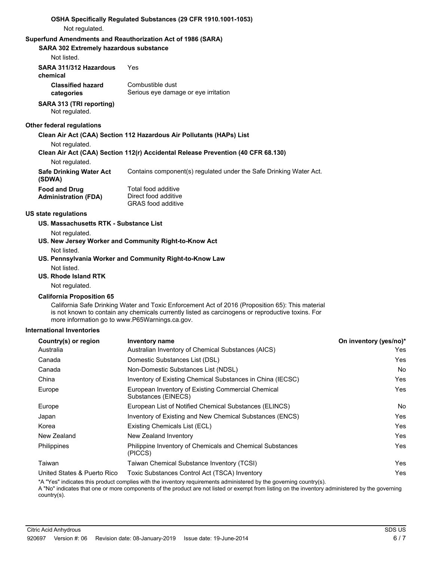| Not regulated.                                        | OSHA Specifically Regulated Substances (29 CFR 1910.1001-1053)                                                                                                                                        |                        |
|-------------------------------------------------------|-------------------------------------------------------------------------------------------------------------------------------------------------------------------------------------------------------|------------------------|
| SARA 302 Extremely hazardous substance<br>Not listed. | Superfund Amendments and Reauthorization Act of 1986 (SARA)                                                                                                                                           |                        |
| SARA 311/312 Hazardous<br>chemical                    | Yes                                                                                                                                                                                                   |                        |
| <b>Classified hazard</b><br>categories                | Combustible dust<br>Serious eye damage or eye irritation                                                                                                                                              |                        |
| SARA 313 (TRI reporting)<br>Not regulated.            |                                                                                                                                                                                                       |                        |
| Other federal regulations                             |                                                                                                                                                                                                       |                        |
|                                                       | Clean Air Act (CAA) Section 112 Hazardous Air Pollutants (HAPs) List                                                                                                                                  |                        |
| Not regulated.<br>Not regulated.                      | Clean Air Act (CAA) Section 112(r) Accidental Release Prevention (40 CFR 68.130)                                                                                                                      |                        |
| <b>Safe Drinking Water Act</b><br>(SDWA)              | Contains component(s) regulated under the Safe Drinking Water Act.                                                                                                                                    |                        |
| <b>Food and Drug</b><br><b>Administration (FDA)</b>   | Total food additive<br>Direct food additive<br><b>GRAS</b> food additive                                                                                                                              |                        |
| <b>US state regulations</b>                           |                                                                                                                                                                                                       |                        |
| US. Massachusetts RTK - Substance List                |                                                                                                                                                                                                       |                        |
| Not regulated.                                        |                                                                                                                                                                                                       |                        |
|                                                       | US. New Jersey Worker and Community Right-to-Know Act                                                                                                                                                 |                        |
| Not listed.                                           |                                                                                                                                                                                                       |                        |
| Not listed.                                           | US. Pennsylvania Worker and Community Right-to-Know Law                                                                                                                                               |                        |
| <b>US. Rhode Island RTK</b>                           |                                                                                                                                                                                                       |                        |
| Not regulated.                                        |                                                                                                                                                                                                       |                        |
| <b>California Proposition 65</b>                      |                                                                                                                                                                                                       |                        |
| more information go to www.P65Warnings.ca.gov.        | California Safe Drinking Water and Toxic Enforcement Act of 2016 (Proposition 65): This material<br>is not known to contain any chemicals currently listed as carcinogens or reproductive toxins. For |                        |
| <b>International Inventories</b>                      |                                                                                                                                                                                                       |                        |
| Country(s) or region                                  | <b>Inventory name</b>                                                                                                                                                                                 | On inventory (yes/no)* |
| Australia                                             | Australian Inventory of Chemical Substances (AICS)                                                                                                                                                    | Yes                    |
| Canada                                                | Domestic Substances List (DSL)                                                                                                                                                                        | Yes                    |
| Canada                                                | Non-Domestic Substances List (NDSL)                                                                                                                                                                   | No                     |
| China                                                 | Inventory of Existing Chemical Substances in China (IECSC)                                                                                                                                            | Yes                    |

\*A "Yes" indicates this product complies with the inventory requirements administered by the governing country(s).

Substances (EINECS)

A "No" indicates that one or more components of the product are not listed or exempt from listing on the inventory administered by the governing country(s).

Taiwan Taiwan Chemical Substance Inventory (TCSI) Yes

United States & Puerto Rico Toxic Substances Control Act (TSCA) Inventory Yes

Europe **European Inventory of Existing Commercial Chemical** Messenger Messenger and Test

Europe **European List of Notified Chemical Substances (ELINCS)** No Notice Note 2014 Japan Inventory of Existing and New Chemical Substances (ENCS) Tes Korea **Existing Chemicals List (ECL) Existing Chemicals List (ECL) The System Constant Constant Constant Constant Constant Constant Constant Constant Constant Constant Constant Constant Constant Constant Constant Const** New Zealand New Zealand Inventory **New York 1988** Yes Philippine Inventory of Chemicals and Chemical Substances Philippines Yes

(PICCS)